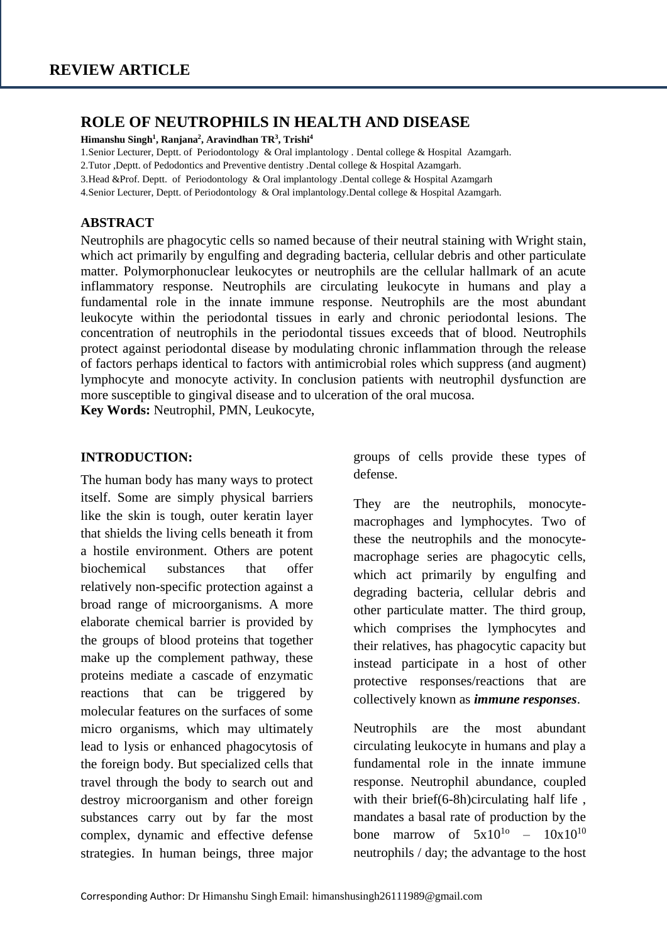### **ROLE OF NEUTROPHILS IN HEALTH AND DISEASE**

**Himanshu Singh<sup>1</sup> , Ranjana<sup>2</sup> , Aravindhan TR<sup>3</sup> , Trishi<sup>4</sup>**

1.Senior Lecturer, Deptt. of Periodontology & Oral implantology . Dental college & Hospital Azamgarh.

2.Tutor ,Deptt. of Pedodontics and Preventive dentistry .Dental college & Hospital Azamgarh.

3.Head &Prof. Deptt. of Periodontology & Oral implantology .Dental college & Hospital Azamgarh

4.Senior Lecturer, Deptt. of Periodontology & Oral implantology.Dental college & Hospital Azamgarh.

#### **ABSTRACT**

Neutrophils are phagocytic cells so named because of their neutral staining with Wright stain, which act primarily by engulfing and degrading bacteria, cellular debris and other particulate matter. Polymorphonuclear leukocytes or neutrophils are the cellular hallmark of an acute inflammatory response. Neutrophils are circulating leukocyte in humans and play a fundamental role in the innate immune response. Neutrophils are the most abundant leukocyte within the periodontal tissues in early and chronic periodontal lesions. The concentration of neutrophils in the periodontal tissues exceeds that of blood. Neutrophils protect against periodontal disease by modulating chronic inflammation through the release of factors perhaps identical to factors with antimicrobial roles which suppress (and augment) lymphocyte and monocyte activity. In conclusion patients with neutrophil dysfunction are more susceptible to gingival disease and to ulceration of the oral mucosa.

**Key Words:** Neutrophil, PMN, Leukocyte,

#### **INTRODUCTION:**

The human body has many ways to protect itself. Some are simply physical barriers like the skin is tough, outer keratin layer that shields the living cells beneath it from a hostile environment. Others are potent biochemical substances that offer relatively non-specific protection against a broad range of microorganisms. A more elaborate chemical barrier is provided by the groups of blood proteins that together make up the complement pathway, these proteins mediate a cascade of enzymatic reactions that can be triggered by molecular features on the surfaces of some micro organisms, which may ultimately lead to lysis or enhanced phagocytosis of the foreign body. But specialized cells that travel through the body to search out and destroy microorganism and other foreign substances carry out by far the most complex, dynamic and effective defense strategies. In human beings, three major

groups of cells provide these types of defense.

They are the neutrophils, monocytemacrophages and lymphocytes. Two of these the neutrophils and the monocytemacrophage series are phagocytic cells, which act primarily by engulfing and degrading bacteria, cellular debris and other particulate matter. The third group, which comprises the lymphocytes and their relatives, has phagocytic capacity but instead participate in a host of other protective responses/reactions that are collectively known as *immune responses*.

Neutrophils are the most abundant circulating leukocyte in humans and play a fundamental role in the innate immune response. Neutrophil abundance, coupled with their brief(6-8h)circulating half life, mandates a basal rate of production by the bone marrow of  $5x10^{10}$  –  $10x10^{10}$ neutrophils / day; the advantage to the host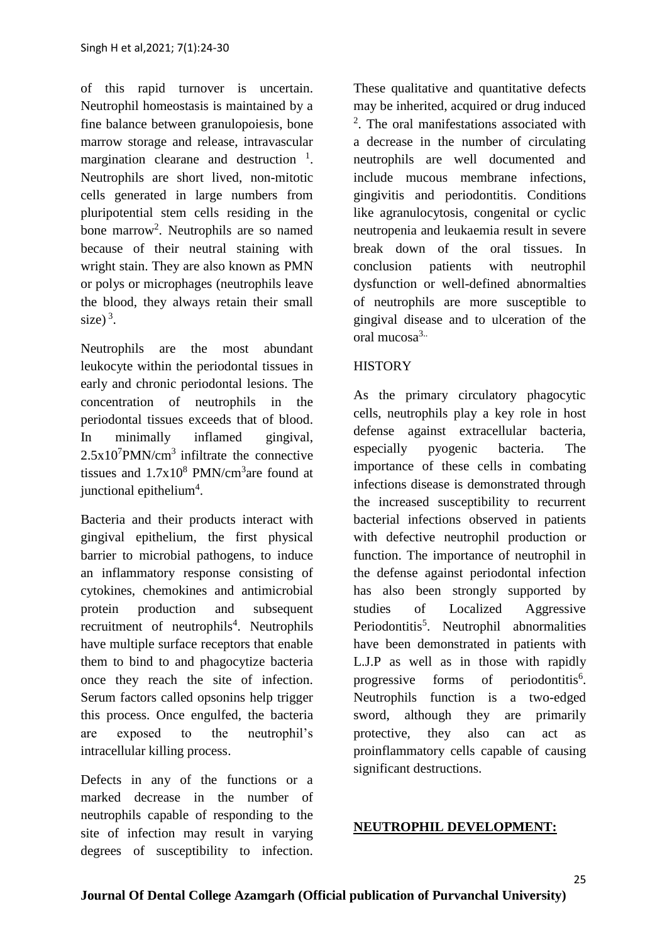of this rapid turnover is uncertain. Neutrophil homeostasis is maintained by a fine balance between granulopoiesis, bone marrow storage and release, intravascular margination clearane and destruction  $<sup>1</sup>$ .</sup> Neutrophils are short lived, non-mitotic cells generated in large numbers from pluripotential stem cells residing in the bone marrow<sup>2</sup>. Neutrophils are so named because of their neutral staining with wright stain. They are also known as PMN or polys or microphages (neutrophils leave the blood, they always retain their small  $size)^3$ .

Neutrophils are the most abundant leukocyte within the periodontal tissues in early and chronic periodontal lesions. The concentration of neutrophils in the periodontal tissues exceeds that of blood. In minimally inflamed gingival,  $2.5x10^7$ PMN/cm<sup>3</sup> infiltrate the connective tissues and  $1.7x10^8$  PMN/cm<sup>3</sup> are found at junctional epithelium<sup>4</sup>.

Bacteria and their products interact with gingival epithelium, the first physical barrier to microbial pathogens, to induce an inflammatory response consisting of cytokines, chemokines and antimicrobial protein production and subsequent recruitment of neutrophils<sup>4</sup>. Neutrophils have multiple surface receptors that enable them to bind to and phagocytize bacteria once they reach the site of infection. Serum factors called opsonins help trigger this process. Once engulfed, the bacteria are exposed to the neutrophil's intracellular killing process.

Defects in any of the functions or a marked decrease in the number of neutrophils capable of responding to the site of infection may result in varying degrees of susceptibility to infection.

These qualitative and quantitative defects may be inherited, acquired or drug induced 2 . The oral manifestations associated with a decrease in the number of circulating neutrophils are well documented and include mucous membrane infections, gingivitis and periodontitis. Conditions like agranulocytosis, congenital or cyclic neutropenia and leukaemia result in severe break down of the oral tissues. In conclusion patients with neutrophil dysfunction or well-defined abnormalties of neutrophils are more susceptible to gingival disease and to ulceration of the oral mucosa3..

# **HISTORY**

As the primary circulatory phagocytic cells, neutrophils play a key role in host defense against extracellular bacteria, especially pyogenic bacteria. The importance of these cells in combating infections disease is demonstrated through the increased susceptibility to recurrent bacterial infections observed in patients with defective neutrophil production or function. The importance of neutrophil in the defense against periodontal infection has also been strongly supported by studies of Localized Aggressive Periodontitis<sup>5</sup>. Neutrophil abnormalities have been demonstrated in patients with L.J.P as well as in those with rapidly progressive forms of periodontitis<sup>6</sup>. Neutrophils function is a two-edged sword, although they are primarily protective, they also can act as proinflammatory cells capable of causing significant destructions.

### **NEUTROPHIL DEVELOPMENT:**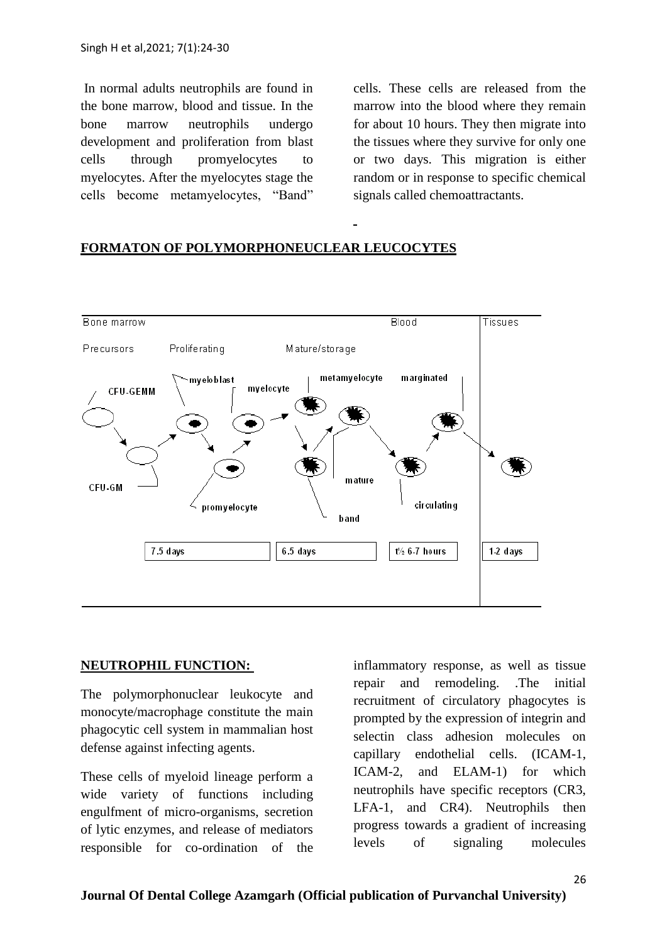In normal adults neutrophils are found in the bone marrow, blood and tissue. In the bone marrow neutrophils undergo development and proliferation from blast cells through promyelocytes to myelocytes. After the myelocytes stage the cells become metamyelocytes, "Band"

cells. These cells are released from the marrow into the blood where they remain for about 10 hours. They then migrate into the tissues where they survive for only one or two days. This migration is either random or in response to specific chemical signals called chemoattractants.

### Bone marrow Blood Tissues Precursors Proliferating Mature/storage metamyelocyte marginated mveloblast mvelocyte CFU-GEMM mature CFU-GM circulating promyelocyte **b** and 7.5 days  $6.5$  days  $t\%$  6-7 hours 1-2 days

## **FORMATON OF POLYMORPHONEUCLEAR LEUCOCYTES**

### **NEUTROPHIL FUNCTION:**

The polymorphonuclear leukocyte and monocyte/macrophage constitute the main phagocytic cell system in mammalian host defense against infecting agents.

These cells of myeloid lineage perform a wide variety of functions including engulfment of micro-organisms, secretion of lytic enzymes, and release of mediators responsible for co-ordination of the

inflammatory response, as well as tissue repair and remodeling. .The initial recruitment of circulatory phagocytes is prompted by the expression of integrin and selectin class adhesion molecules on capillary endothelial cells. (ICAM-1, ICAM-2, and ELAM-1) for which neutrophils have specific receptors (CR3, LFA-1, and CR4). Neutrophils then progress towards a gradient of increasing levels of signaling molecules

#### **Journal Of Dental College Azamgarh (Official publication of Purvanchal University)**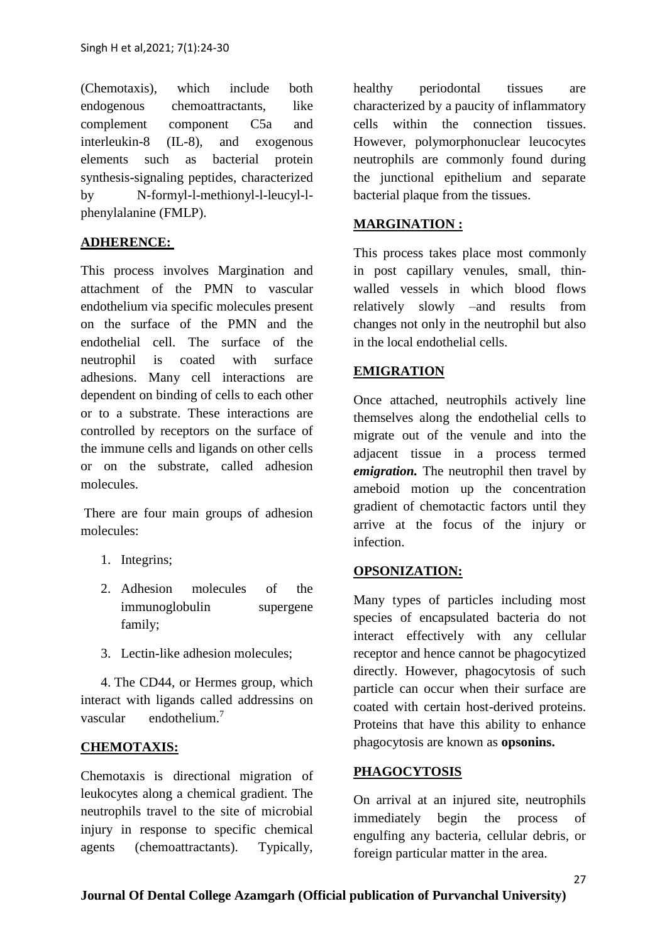(Chemotaxis), which include both endogenous chemoattractants, like complement component C5a and interleukin-8 (IL-8), and exogenous elements such as bacterial protein synthesis-signaling peptides, characterized by N-formyl-l-methionyl-l-leucyl-lphenylalanine (FMLP).

# **ADHERENCE:**

This process involves Margination and attachment of the PMN to vascular endothelium via specific molecules present on the surface of the PMN and the endothelial cell. The surface of the neutrophil is coated with surface adhesions. Many cell interactions are dependent on binding of cells to each other or to a substrate. These interactions are controlled by receptors on the surface of the immune cells and ligands on other cells or on the substrate, called adhesion molecules.

There are four main groups of adhesion molecules:

- 1. Integrins;
- 2. Adhesion molecules of the immunoglobulin supergene family;
- 3. Lectin-like adhesion molecules;

 4. The CD44, or Hermes group, which interact with ligands called addressins on vascular endothelium.<sup>7</sup>

## **CHEMOTAXIS:**

Chemotaxis is directional migration of leukocytes along a chemical gradient. The neutrophils travel to the site of microbial injury in response to specific chemical agents (chemoattractants). Typically,

healthy periodontal tissues are characterized by a paucity of inflammatory cells within the connection tissues. However, polymorphonuclear leucocytes neutrophils are commonly found during the junctional epithelium and separate bacterial plaque from the tissues.

# **MARGINATION :**

This process takes place most commonly in post capillary venules, small, thinwalled vessels in which blood flows relatively slowly –and results from changes not only in the neutrophil but also in the local endothelial cells.

## **EMIGRATION**

Once attached, neutrophils actively line themselves along the endothelial cells to migrate out of the venule and into the adjacent tissue in a process termed *emigration.* The neutrophil then travel by ameboid motion up the concentration gradient of chemotactic factors until they arrive at the focus of the injury or infection.

## **OPSONIZATION:**

Many types of particles including most species of encapsulated bacteria do not interact effectively with any cellular receptor and hence cannot be phagocytized directly. However, phagocytosis of such particle can occur when their surface are coated with certain host-derived proteins. Proteins that have this ability to enhance phagocytosis are known as **opsonins.**

## **PHAGOCYTOSIS**

On arrival at an injured site, neutrophils immediately begin the process of engulfing any bacteria, cellular debris, or foreign particular matter in the area.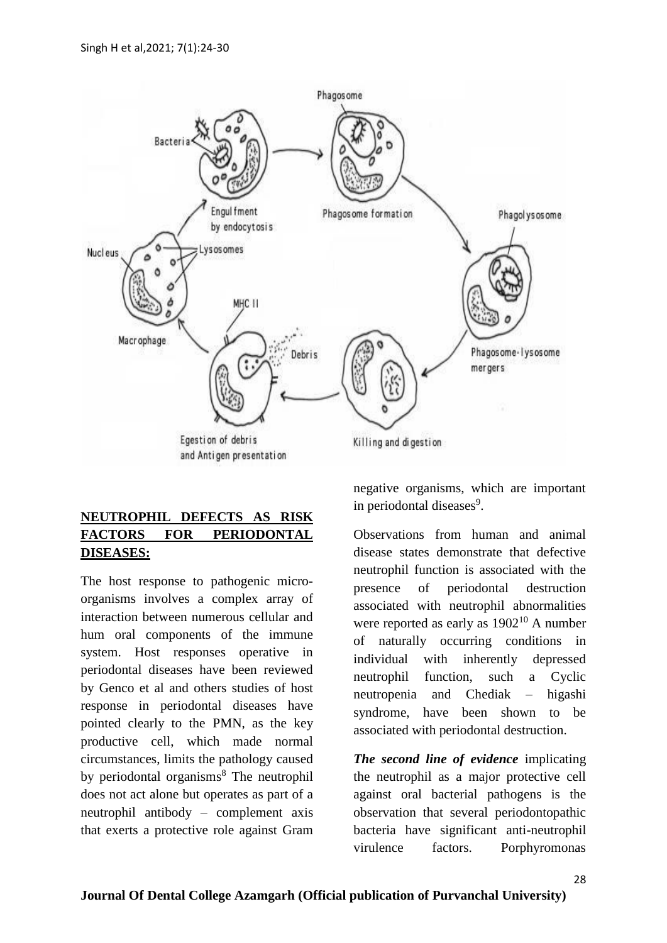

# **NEUTROPHIL DEFECTS AS RISK FACTORS FOR PERIODONTAL DISEASES:**

The host response to pathogenic microorganisms involves a complex array of interaction between numerous cellular and hum oral components of the immune system. Host responses operative in periodontal diseases have been reviewed by Genco et al and others studies of host response in periodontal diseases have pointed clearly to the PMN, as the key productive cell, which made normal circumstances, limits the pathology caused by periodontal organisms<sup>8</sup> The neutrophil does not act alone but operates as part of a neutrophil antibody – complement axis that exerts a protective role against Gram negative organisms, which are important in periodontal diseases<sup>9</sup>.

Observations from human and animal disease states demonstrate that defective neutrophil function is associated with the presence of periodontal destruction associated with neutrophil abnormalities were reported as early as  $1902^{10}$  A number of naturally occurring conditions in individual with inherently depressed neutrophil function, such a Cyclic neutropenia and Chediak – higashi syndrome, have been shown to be associated with periodontal destruction.

*The second line of evidence* implicating the neutrophil as a major protective cell against oral bacterial pathogens is the observation that several periodontopathic bacteria have significant anti-neutrophil virulence factors. Porphyromonas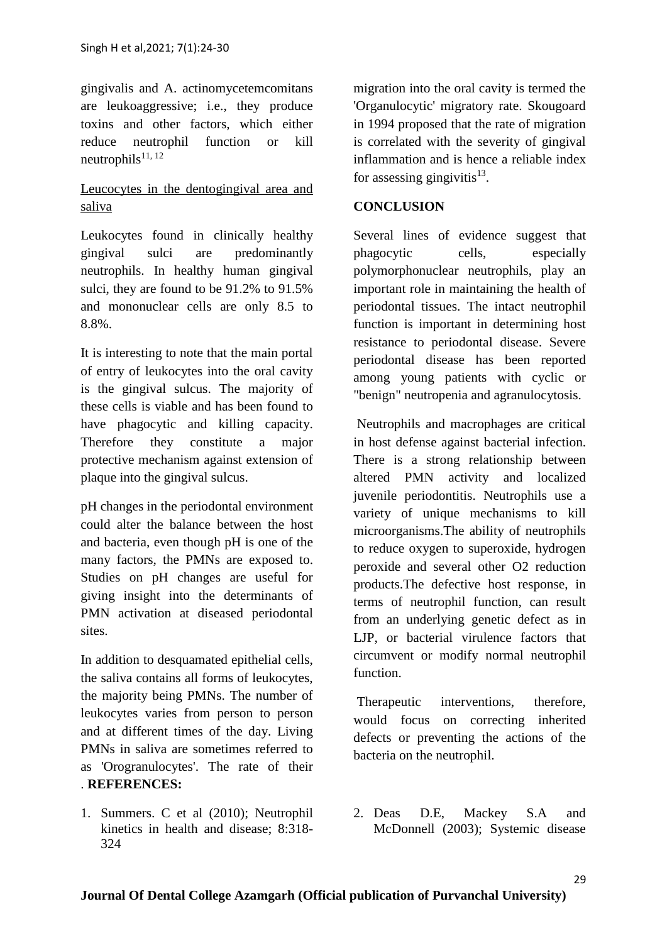gingivalis and A. actinomycetemcomitans are leukoaggressive; i.e., they produce toxins and other factors, which either reduce neutrophil function or kill neutrophils $11, 12$ 

# Leucocytes in the dentogingival area and saliva

Leukocytes found in clinically healthy gingival sulci are predominantly neutrophils. In healthy human gingival sulci, they are found to be 91.2% to 91.5% and mononuclear cells are only 8.5 to 8.8%.

It is interesting to note that the main portal of entry of leukocytes into the oral cavity is the gingival sulcus. The majority of these cells is viable and has been found to have phagocytic and killing capacity. Therefore they constitute a major protective mechanism against extension of plaque into the gingival sulcus.

pH changes in the periodontal environment could alter the balance between the host and bacteria, even though pH is one of the many factors, the PMNs are exposed to. Studies on pH changes are useful for giving insight into the determinants of PMN activation at diseased periodontal sites.

In addition to desquamated epithelial cells, the saliva contains all forms of leukocytes, the majority being PMNs. The number of leukocytes varies from person to person and at different times of the day. Living PMNs in saliva are sometimes referred to as 'Orogranulocytes'. The rate of their . **REFERENCES:**

1. Summers. C et al (2010); Neutrophil kinetics in health and disease; 8:318- 324

migration into the oral cavity is termed the 'Organulocytic' migratory rate. Skougoard in 1994 proposed that the rate of migration is correlated with the severity of gingival inflammation and is hence a reliable index for assessing gingivitis $^{13}$ .

# **CONCLUSION**

Several lines of evidence suggest that phagocytic cells, especially polymorphonuclear neutrophils, play an important role in maintaining the health of periodontal tissues. The intact neutrophil function is important in determining host resistance to periodontal disease. Severe periodontal disease has been reported among young patients with cyclic or "benign" neutropenia and agranulocytosis.

Neutrophils and macrophages are critical in host defense against bacterial infection. There is a strong relationship between altered PMN activity and localized juvenile periodontitis. Neutrophils use a variety of unique mechanisms to kill microorganisms.The ability of neutrophils to reduce oxygen to superoxide, hydrogen peroxide and several other O2 reduction products.The defective host response, in terms of neutrophil function, can result from an underlying genetic defect as in LJP, or bacterial virulence factors that circumvent or modify normal neutrophil function.

Therapeutic interventions, therefore, would focus on correcting inherited defects or preventing the actions of the bacteria on the neutrophil.

2. Deas D.E, Mackey S.A and McDonnell (2003); Systemic disease